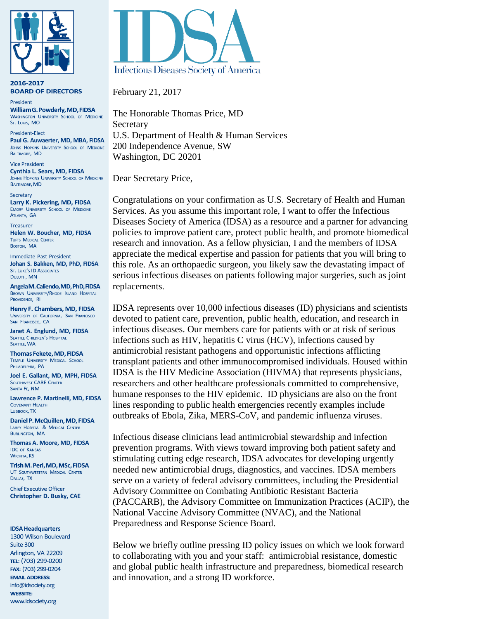

2016-2017 **BOARD OF DIRECTORS** 

President William G. Powderly, MD, FIDSA **WASHINGTON UNIVERSITY SCHOOL OF MEDICINE** St. Louis, MO

President-Elect **Paul G. Auwaerter, MD, MBA, FIDSA** JOHNS HOPKINS UNIVERSITY SCHOOL OF MEDICINE BALTIMORE, MD

**Vice President Cynthia L. Sears, MD, FIDSA** BALTIMORE, MD

**Secretary** Larry K. Pickering, MD, FIDSA EMORY UNIVERSITY SCHOOL OF MEDICINE ATLANTA, GA

Treasurer **Helen W. Boucher, MD, FIDSA** BOSTON, MA

Immediate Past President **Johan S. Bakken, MD, PhD, FIDSA** DULUTH, MN

Angela M. Caliendo, MD, PhD, FIDSA BROWN UNIVERSITY/RHODE ISLAND HOSPITAL PROVIDENCE, RI

Henry F. Chambers, MD, FIDSA UNIVERSITY OF CALIFORNIA, SAN FRANCISCO SAN FRANCISCO, CA

**Janet A. Englund, MD, FIDSA SEATTLE, WA** 

Thomas Fekete, MD, FIDSA TEMPLE UNIVERSITY MEDICAL SCHOOL PHILADELPHIA, PA

**Joel E. Gallant, MD, MPH, FIDSA SANTA FE, NM** 

**Lawrence P. Martinelli, MD, FIDSA** LUBBOCK. TX

Daniel P. McQuillen, MD, FIDSA LAHEY HOSPITAL & MEDICAL CENTER **BURLINGTON, MA** 

**Thomas A. Moore, MD, FIDSA** WICHITA, KS

Trish M. Perl, MD, MSc, FIDSA UT SOUTHWESTERN MEDICAL CENTER DALLAS, TX

**Chief Executive Officer Christopher D. Busky, CAE**

#### **IDSAHeadquarters**

1300 Wilson Boulevard Suite 300 Arlington, VA 22209 TEL: (703) 299-0200 FAX: (703) 299-0204 **EMAIL ADDRESS:** [info@idsociety.org](mailto:info@idsociety.org)**WEBSITE:** www.idsociety.org



February 21, 2017

The Honorable Thomas Price, MD **Secretary** U.S. Department of Health & Human Services 200 Independence Avenue, SW Washington, DC 20201

Dear Secretary Price,

Congratulations on your confirmation as U.S. Secretary of Health and Human Services. As you assume this important role, I want to offer the Infectious Diseases Society of America (IDSA) as a resource and a partner for advancing policies to improve patient care, protect public health, and promote biomedical research and innovation. As a fellow physician, I and the members of IDSA appreciate the medical expertise and passion for patients that you will bring to this role. As an orthopaedic surgeon, you likely saw the devastating impact of serious infectious diseases on patients following major surgeries, such as joint replacements.

IDSA represents over 10,000 infectious diseases (ID) physicians and scientists devoted to patient care, prevention, public health, education, and research in infectious diseases. Our members care for patients with or at risk of serious infections such as HIV, hepatitis C virus (HCV), infections caused by antimicrobial resistant pathogens and opportunistic infections afflicting transplant patients and other immunocompromised individuals. Housed within IDSA is the HIV Medicine Association (HIVMA) that represents physicians, researchers and other healthcare professionals committed to comprehensive, humane responses to the HIV epidemic. ID physicians are also on the front lines responding to public health emergencies recently examples include outbreaks of Ebola, Zika, MERS-CoV, and pandemic influenza viruses.

Infectious disease clinicians lead antimicrobial stewardship and infection prevention programs. With views toward improving both patient safety and stimulating cutting edge research, IDSA advocates for developing urgently needed new antimicrobial drugs, diagnostics, and vaccines. IDSA members serve on a variety of federal advisory committees, including the Presidential Advisory Committee on Combating Antibiotic Resistant Bacteria (PACCARB), the Advisory Committee on Immunization Practices (ACIP), the National Vaccine Advisory Committee (NVAC), and the National Preparedness and Response Science Board.

Below we briefly outline pressing ID policy issues on which we look forward to collaborating with you and your staff: antimicrobial resistance, domestic and global public health infrastructure and preparedness, biomedical research and innovation, and a strong ID workforce.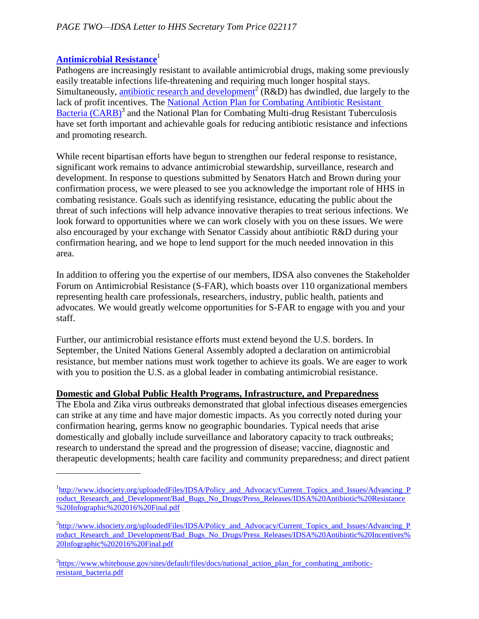# **[Antimicrobial Resistance](http://www.idsociety.org/uploadedFiles/IDSA/Policy_and_Advocacy/Current_Topics_and_Issues/Advancing_Product_Research_and_Development/Bad_Bugs_No_Drugs/Press_Releases/IDSA%20Antibiotic%20Resistance%20Infographic%202016%20Final.pdf)**<sup>1</sup>

Pathogens are increasingly resistant to available antimicrobial drugs, making some previously easily treatable infections life-threatening and requiring much longer hospital stays. Simultaneously, [antibiotic research and development](http://www.idsociety.org/uploadedFiles/IDSA/Policy_and_Advocacy/Current_Topics_and_Issues/Advancing_Product_Research_and_Development/Bad_Bugs_No_Drugs/Press_Releases/IDSA%20Antibiotic%20Incentives%20Infographic%202016%20Final.pdf)<sup>2</sup> (R&D) has dwindled, due largely to the lack of profit incentives. The National Action Plan [for Combating Antibiotic Resistant](https://www.whitehouse.gov/sites/default/files/docs/national_action_plan_for_combating_antibotic-resistant_bacteria.pdf)  [Bacteria \(CARB\)](https://www.whitehouse.gov/sites/default/files/docs/national_action_plan_for_combating_antibotic-resistant_bacteria.pdf)<sup>3</sup> and the National Plan for Combating Multi-drug Resistant Tuberculosis have set forth important and achievable goals for reducing antibiotic resistance and infections and promoting research.

While recent bipartisan efforts have begun to strengthen our federal response to resistance, significant work remains to advance antimicrobial stewardship, surveillance, research and development. In response to questions submitted by Senators Hatch and Brown during your confirmation process, we were pleased to see you acknowledge the important role of HHS in combating resistance. Goals such as identifying resistance, educating the public about the threat of such infections will help advance innovative therapies to treat serious infections. We look forward to opportunities where we can work closely with you on these issues. We were also encouraged by your exchange with Senator Cassidy about antibiotic R&D during your confirmation hearing, and we hope to lend support for the much needed innovation in this area.

In addition to offering you the expertise of our members, IDSA also convenes the Stakeholder Forum on Antimicrobial Resistance (S-FAR), which boasts over 110 organizational members representing health care professionals, researchers, industry, public health, patients and advocates. We would greatly welcome opportunities for S-FAR to engage with you and your staff.

Further, our antimicrobial resistance efforts must extend beyond the U.S. borders. In September, the United Nations General Assembly adopted a declaration on antimicrobial resistance, but member nations must work together to achieve its goals. We are eager to work with you to position the U.S. as a global leader in combating antimicrobial resistance.

### **Domestic and Global Public Health Programs, Infrastructure, and Preparedness**

The Ebola and Zika virus outbreaks demonstrated that global infectious diseases emergencies can strike at any time and have major domestic impacts. As you correctly noted during your confirmation hearing, germs know no geographic boundaries. Typical needs that arise domestically and globally include surveillance and laboratory capacity to track outbreaks; research to understand the spread and the progression of disease; vaccine, diagnostic and therapeutic developments; health care facility and community preparedness; and direct patient

<sup>&</sup>lt;sup>1</sup>[http://www.idsociety.org/uploadedFiles/IDSA/Policy\\_and\\_Advocacy/Current\\_Topics\\_and\\_Issues/Advancing\\_P](http://www.idsociety.org/uploadedFiles/IDSA/Policy_and_Advocacy/Current_Topics_and_Issues/Advancing_Product_Research_and_Development/Bad_Bugs_No_Drugs/Press_Releases/IDSA%20Antibiotic%20Resistance%20Infographic%202016%20Final.pdf) roduct Research\_and\_Development/Bad\_Bugs\_No\_Drugs/Press\_Releases/IDSA%20Antibiotic%20Resistance [%20Infographic%202016%20Final.pdf](http://www.idsociety.org/uploadedFiles/IDSA/Policy_and_Advocacy/Current_Topics_and_Issues/Advancing_Product_Research_and_Development/Bad_Bugs_No_Drugs/Press_Releases/IDSA%20Antibiotic%20Resistance%20Infographic%202016%20Final.pdf)

<sup>&</sup>lt;sup>2</sup>[http://www.idsociety.org/uploadedFiles/IDSA/Policy\\_and\\_Advocacy/Current\\_Topics\\_and\\_Issues/Advancing\\_P](http://www.idsociety.org/uploadedFiles/IDSA/Policy_and_Advocacy/Current_Topics_and_Issues/Advancing_Product_Research_and_Development/Bad_Bugs_No_Drugs/Press_Releases/IDSA%20Antibiotic%20Incentives%20Infographic%202016%20Final.pdf) [roduct\\_Research\\_and\\_Development/Bad\\_Bugs\\_No\\_Drugs/Press\\_Releases/IDSA%20Antibiotic%20Incentives%](http://www.idsociety.org/uploadedFiles/IDSA/Policy_and_Advocacy/Current_Topics_and_Issues/Advancing_Product_Research_and_Development/Bad_Bugs_No_Drugs/Press_Releases/IDSA%20Antibiotic%20Incentives%20Infographic%202016%20Final.pdf) [20Infographic%202016%20Final.pdf](http://www.idsociety.org/uploadedFiles/IDSA/Policy_and_Advocacy/Current_Topics_and_Issues/Advancing_Product_Research_and_Development/Bad_Bugs_No_Drugs/Press_Releases/IDSA%20Antibiotic%20Incentives%20Infographic%202016%20Final.pdf)

<sup>&</sup>lt;sup>2</sup>[https://www.whitehouse.gov/sites/default/files/docs/national\\_action\\_plan\\_for\\_combating\\_antibotic](https://www.whitehouse.gov/sites/default/files/docs/national_action_plan_for_combating_antibotic-resistant_bacteria.pdf)[resistant\\_bacteria.pdf](https://www.whitehouse.gov/sites/default/files/docs/national_action_plan_for_combating_antibotic-resistant_bacteria.pdf)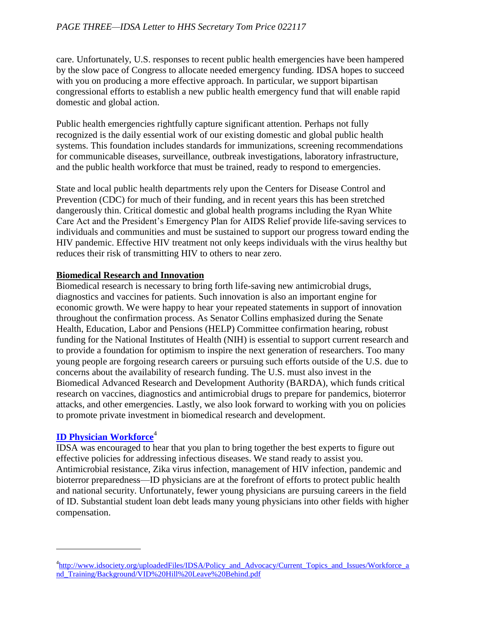care. Unfortunately, U.S. responses to recent public health emergencies have been hampered by the slow pace of Congress to allocate needed emergency funding. IDSA hopes to succeed with you on producing a more effective approach. In particular, we support bipartisan congressional efforts to establish a new public health emergency fund that will enable rapid domestic and global action.

Public health emergencies rightfully capture significant attention. Perhaps not fully recognized is the daily essential work of our existing domestic and global public health systems. This foundation includes standards for immunizations, screening recommendations for communicable diseases, surveillance, outbreak investigations, laboratory infrastructure, and the public health workforce that must be trained, ready to respond to emergencies.

State and local public health departments rely upon the Centers for Disease Control and Prevention (CDC) for much of their funding, and in recent years this has been stretched dangerously thin. Critical domestic and global health programs including the Ryan White Care Act and the President's Emergency Plan for AIDS Relief provide life-saving services to individuals and communities and must be sustained to support our progress toward ending the HIV pandemic. Effective HIV treatment not only keeps individuals with the virus healthy but reduces their risk of transmitting HIV to others to near zero.

### **Biomedical Research and Innovation**

Biomedical research is necessary to bring forth life-saving new antimicrobial drugs, diagnostics and vaccines for patients. Such innovation is also an important engine for economic growth. We were happy to hear your repeated statements in support of innovation throughout the confirmation process. As Senator Collins emphasized during the Senate Health, Education, Labor and Pensions (HELP) Committee confirmation hearing, robust funding for the National Institutes of Health (NIH) is essential to support current research and to provide a foundation for optimism to inspire the next generation of researchers. Too many young people are forgoing research careers or pursuing such efforts outside of the U.S. due to concerns about the availability of research funding. The U.S. must also invest in the Biomedical Advanced Research and Development Authority (BARDA), which funds critical research on vaccines, diagnostics and antimicrobial drugs to prepare for pandemics, bioterror attacks, and other emergencies. Lastly, we also look forward to working with you on policies to promote private investment in biomedical research and development.

## **[ID Physician Workforce](http://www.idsociety.org/uploadedFiles/IDSA/Policy_and_Advocacy/Current_Topics_and_Issues/Workforce_and_Training/Background/VID%20Hill%20Leave%20Behind.pdf)**<sup>4</sup>

IDSA was encouraged to hear that you plan to bring together the best experts to figure out effective policies for addressing infectious diseases. We stand ready to assist you. Antimicrobial resistance, Zika virus infection, management of HIV infection, pandemic and bioterror preparedness—ID physicians are at the forefront of efforts to protect public health and national security. Unfortunately, fewer young physicians are pursuing careers in the field of ID. Substantial student loan debt leads many young physicians into other fields with higher compensation.

<sup>&</sup>lt;sup>4</sup>[http://www.idsociety.org/uploadedFiles/IDSA/Policy\\_and\\_Advocacy/Current\\_Topics\\_and\\_Issues/Workforce\\_a](http://www.idsociety.org/uploadedFiles/IDSA/Policy_and_Advocacy/Current_Topics_and_Issues/Workforce_and_Training/Background/VID%20Hill%20Leave%20Behind.pdf) [nd\\_Training/Background/VID%20Hill%20Leave%20Behind.pdf](http://www.idsociety.org/uploadedFiles/IDSA/Policy_and_Advocacy/Current_Topics_and_Issues/Workforce_and_Training/Background/VID%20Hill%20Leave%20Behind.pdf)